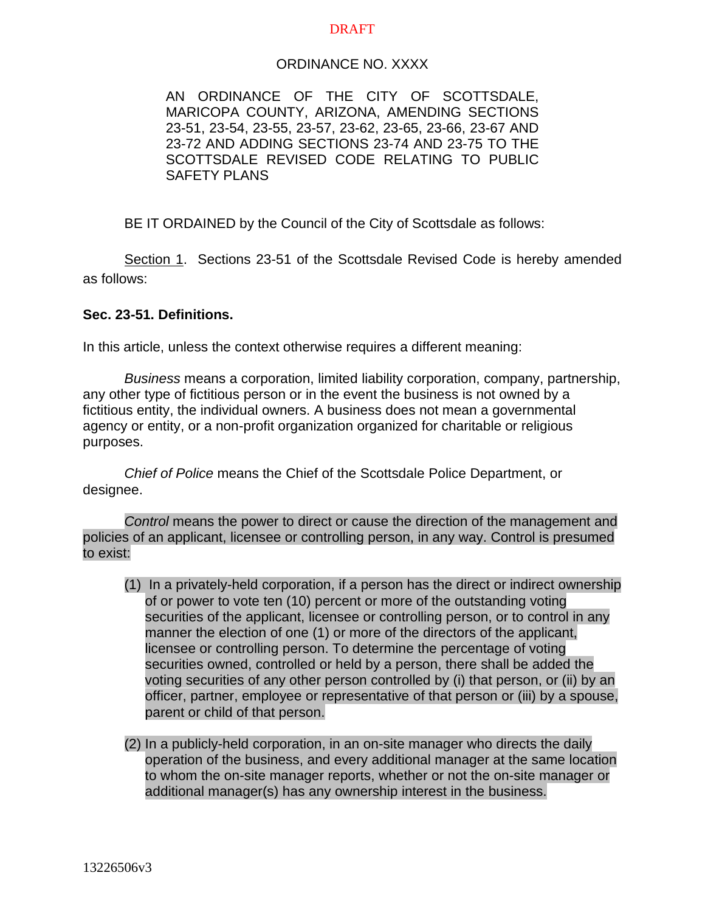### DRAFT

### ORDINANCE NO. XXXX

AN ORDINANCE OF THE CITY OF SCOTTSDALE, MARICOPA COUNTY, ARIZONA, AMENDING SECTIONS 23-51, 23-54, 23-55, 23-57, 23-62, 23-65, 23-66, 23-67 AND 23-72 AND ADDING SECTIONS 23-74 AND 23-75 TO THE SCOTTSDALE REVISED CODE RELATING TO PUBLIC SAFETY PLANS

BE IT ORDAINED by the Council of the City of Scottsdale as follows:

Section 1. Sections 23-51 of the Scottsdale Revised Code is hereby amended as follows:

### **Sec. 23-51. Definitions.**

In this article, unless the context otherwise requires a different meaning:

*Business* means a corporation, limited liability corporation, company, partnership, any other type of fictitious person or in the event the business is not owned by a fictitious entity, the individual owners. A business does not mean a governmental agency or entity, or a non-profit organization organized for charitable or religious purposes.

*Chief of Police* means the Chief of the Scottsdale Police Department, or designee.

*Control* means the power to direct or cause the direction of the management and policies of an applicant, licensee or controlling person, in any way. Control is presumed to exist:

- (1) In a privately-held corporation, if a person has the direct or indirect ownership of or power to vote ten (10) percent or more of the outstanding voting securities of the applicant, licensee or controlling person, or to control in any manner the election of one (1) or more of the directors of the applicant, licensee or controlling person. To determine the percentage of voting securities owned, controlled or held by a person, there shall be added the voting securities of any other person controlled by (i) that person, or (ii) by an officer, partner, employee or representative of that person or (iii) by a spouse, parent or child of that person.
- (2) In a publicly-held corporation, in an on-site manager who directs the daily operation of the business, and every additional manager at the same location to whom the on-site manager reports, whether or not the on-site manager or additional manager(s) has any ownership interest in the business.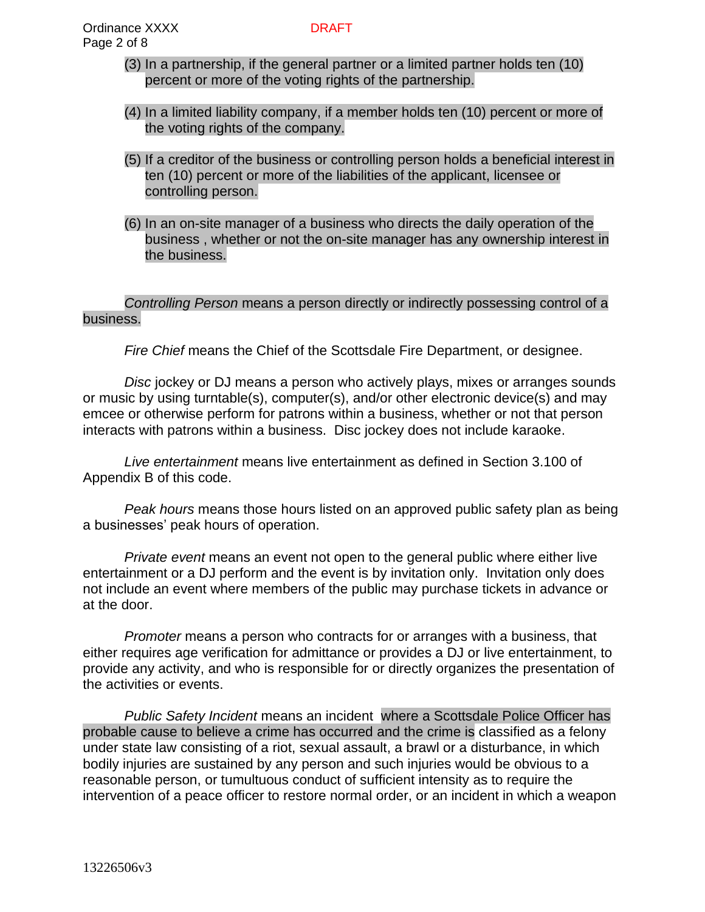- (3) In a partnership, if the general partner or a limited partner holds ten (10) percent or more of the voting rights of the partnership.
- (4) In a limited liability company, if a member holds ten (10) percent or more of the voting rights of the company.
- (5) If a creditor of the business or controlling person holds a beneficial interest in ten (10) percent or more of the liabilities of the applicant, licensee or controlling person.
- (6) In an on-site manager of a business who directs the daily operation of the business , whether or not the on-site manager has any ownership interest in the business.

## *Controlling Person* means a person directly or indirectly possessing control of a business.

*Fire Chief* means the Chief of the Scottsdale Fire Department, or designee.

*Disc* jockey or DJ means a person who actively plays, mixes or arranges sounds or music by using turntable(s), computer(s), and/or other electronic device(s) and may emcee or otherwise perform for patrons within a business, whether or not that person interacts with patrons within a business. Disc jockey does not include karaoke.

*Live entertainment* means live entertainment as defined in Section 3.100 of Appendix B of this code.

*Peak hours* means those hours listed on an approved public safety plan as being a businesses' peak hours of operation.

*Private event* means an event not open to the general public where either live entertainment or a DJ perform and the event is by invitation only. Invitation only does not include an event where members of the public may purchase tickets in advance or at the door.

*Promoter* means a person who contracts for or arranges with a business, that either requires age verification for admittance or provides a DJ or live entertainment, to provide any activity, and who is responsible for or directly organizes the presentation of the activities or events.

*Public Safety Incident* means an incident where a Scottsdale Police Officer has probable cause to believe a crime has occurred and the crime is classified as a felony under state law consisting of a riot, sexual assault, a brawl or a disturbance, in which bodily injuries are sustained by any person and such injuries would be obvious to a reasonable person, or tumultuous conduct of sufficient intensity as to require the intervention of a peace officer to restore normal order, or an incident in which a weapon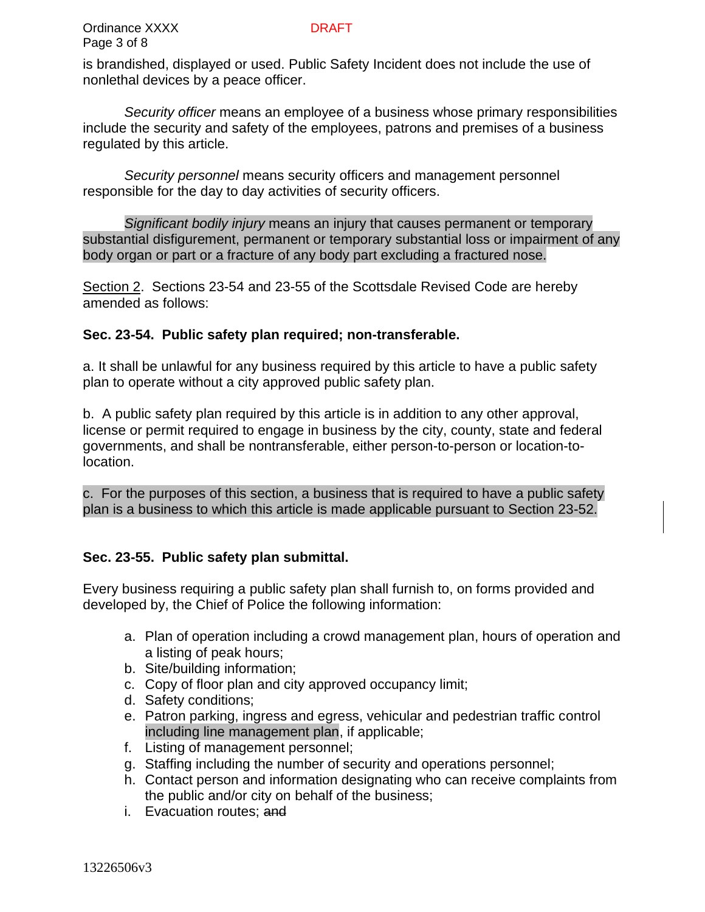is brandished, displayed or used. Public Safety Incident does not include the use of nonlethal devices by a peace officer.

*Security officer* means an employee of a business whose primary responsibilities include the security and safety of the employees, patrons and premises of a business regulated by this article.

*Security personnel* means security officers and management personnel responsible for the day to day activities of security officers.

*Significant bodily injury* means an injury that causes permanent or temporary substantial disfigurement, permanent or temporary substantial loss or impairment of any body organ or part or a fracture of any body part excluding a fractured nose.

Section 2. Sections 23-54 and 23-55 of the Scottsdale Revised Code are hereby amended as follows:

# **Sec. 23-54. Public safety plan required; non-transferable.**

a. It shall be unlawful for any business required by this article to have a public safety plan to operate without a city approved public safety plan.

b. A public safety plan required by this article is in addition to any other approval, license or permit required to engage in business by the city, county, state and federal governments, and shall be nontransferable, either person-to-person or location-tolocation.

c. For the purposes of this section, a business that is required to have a public safety plan is a business to which this article is made applicable pursuant to Section 23-52.

## **Sec. 23-55. Public safety plan submittal.**

Every business requiring a public safety plan shall furnish to, on forms provided and developed by, the Chief of Police the following information:

- a. Plan of operation including a crowd management plan, hours of operation and a listing of peak hours;
- b. Site/building information;
- c. Copy of floor plan and city approved occupancy limit;
- d. Safety conditions;
- e. Patron parking, ingress and egress, vehicular and pedestrian traffic control including line management plan, if applicable;
- f. Listing of management personnel;
- g. Staffing including the number of security and operations personnel;
- h. Contact person and information designating who can receive complaints from the public and/or city on behalf of the business;
- i. Evacuation routes; and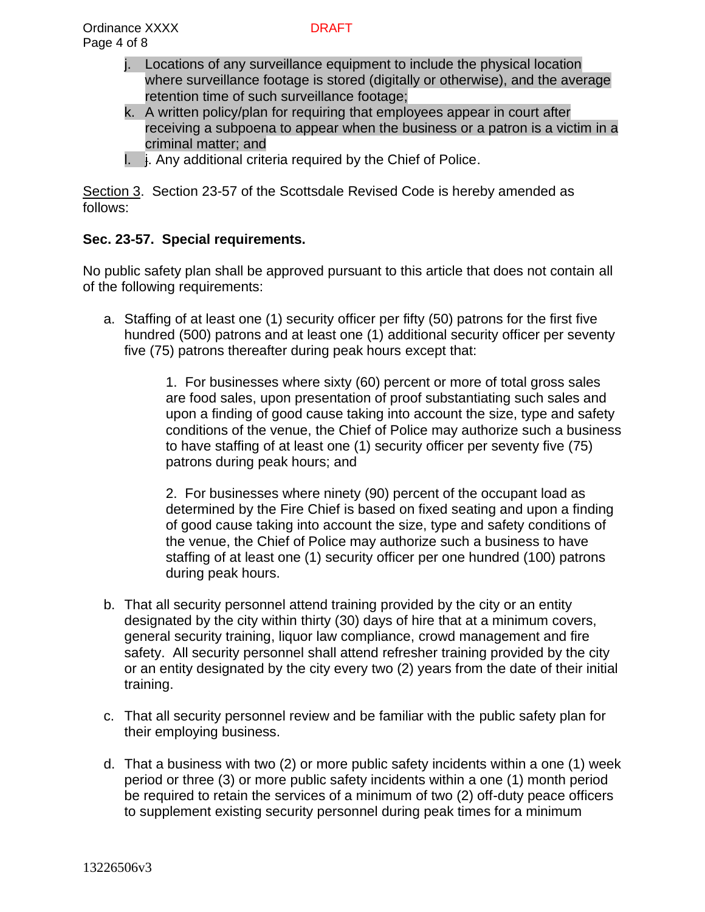- j. Locations of any surveillance equipment to include the physical location where surveillance footage is stored (digitally or otherwise), and the average retention time of such surveillance footage;
- k. A written policy/plan for requiring that employees appear in court after receiving a subpoena to appear when the business or a patron is a victim in a criminal matter; and
- I.  $\frac{1}{2}$ . Any additional criteria required by the Chief of Police.

Section 3. Section 23-57 of the Scottsdale Revised Code is hereby amended as follows:

# **Sec. 23-57. Special requirements.**

No public safety plan shall be approved pursuant to this article that does not contain all of the following requirements:

a. Staffing of at least one (1) security officer per fifty (50) patrons for the first five hundred (500) patrons and at least one (1) additional security officer per seventy five (75) patrons thereafter during peak hours except that:

> 1. For businesses where sixty (60) percent or more of total gross sales are food sales, upon presentation of proof substantiating such sales and upon a finding of good cause taking into account the size, type and safety conditions of the venue, the Chief of Police may authorize such a business to have staffing of at least one (1) security officer per seventy five (75) patrons during peak hours; and

2. For businesses where ninety (90) percent of the occupant load as determined by the Fire Chief is based on fixed seating and upon a finding of good cause taking into account the size, type and safety conditions of the venue, the Chief of Police may authorize such a business to have staffing of at least one (1) security officer per one hundred (100) patrons during peak hours.

- b. That all security personnel attend training provided by the city or an entity designated by the city within thirty (30) days of hire that at a minimum covers, general security training, liquor law compliance, crowd management and fire safety. All security personnel shall attend refresher training provided by the city or an entity designated by the city every two (2) years from the date of their initial training.
- c. That all security personnel review and be familiar with the public safety plan for their employing business.
- d. That a business with two (2) or more public safety incidents within a one (1) week period or three (3) or more public safety incidents within a one (1) month period be required to retain the services of a minimum of two (2) off-duty peace officers to supplement existing security personnel during peak times for a minimum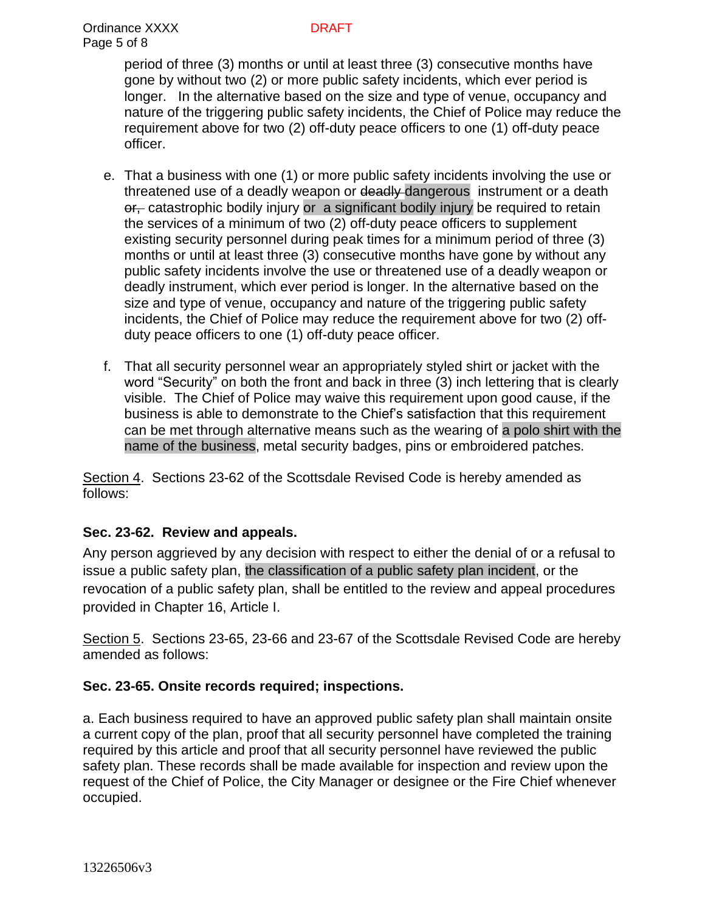period of three (3) months or until at least three (3) consecutive months have gone by without two (2) or more public safety incidents, which ever period is longer. In the alternative based on the size and type of venue, occupancy and nature of the triggering public safety incidents, the Chief of Police may reduce the requirement above for two (2) off-duty peace officers to one (1) off-duty peace officer.

- e. That a business with one (1) or more public safety incidents involving the use or threatened use of a deadly weapon or deadly dangerous instrument or a death or, catastrophic bodily injury or a significant bodily injury be required to retain the services of a minimum of two (2) off-duty peace officers to supplement existing security personnel during peak times for a minimum period of three (3) months or until at least three (3) consecutive months have gone by without any public safety incidents involve the use or threatened use of a deadly weapon or deadly instrument, which ever period is longer. In the alternative based on the size and type of venue, occupancy and nature of the triggering public safety incidents, the Chief of Police may reduce the requirement above for two (2) offduty peace officers to one (1) off-duty peace officer.
- f. That all security personnel wear an appropriately styled shirt or jacket with the word "Security" on both the front and back in three (3) inch lettering that is clearly visible. The Chief of Police may waive this requirement upon good cause, if the business is able to demonstrate to the Chief's satisfaction that this requirement can be met through alternative means such as the wearing of a polo shirt with the name of the business, metal security badges, pins or embroidered patches.

Section 4. Sections 23-62 of the Scottsdale Revised Code is hereby amended as follows:

# **Sec. 23-62. Review and appeals.**

Any person aggrieved by any decision with respect to either the denial of or a refusal to issue a public safety plan, the classification of a public safety plan incident, or the revocation of a public safety plan, shall be entitled to the review and appeal procedures provided in Chapter 16, Article I.

Section 5. Sections 23-65, 23-66 and 23-67 of the Scottsdale Revised Code are hereby amended as follows:

## **Sec. 23-65. Onsite records required; inspections.**

a. Each business required to have an approved public safety plan shall maintain onsite a current copy of the plan, proof that all security personnel have completed the training required by this article and proof that all security personnel have reviewed the public safety plan. These records shall be made available for inspection and review upon the request of the Chief of Police, the City Manager or designee or the Fire Chief whenever occupied.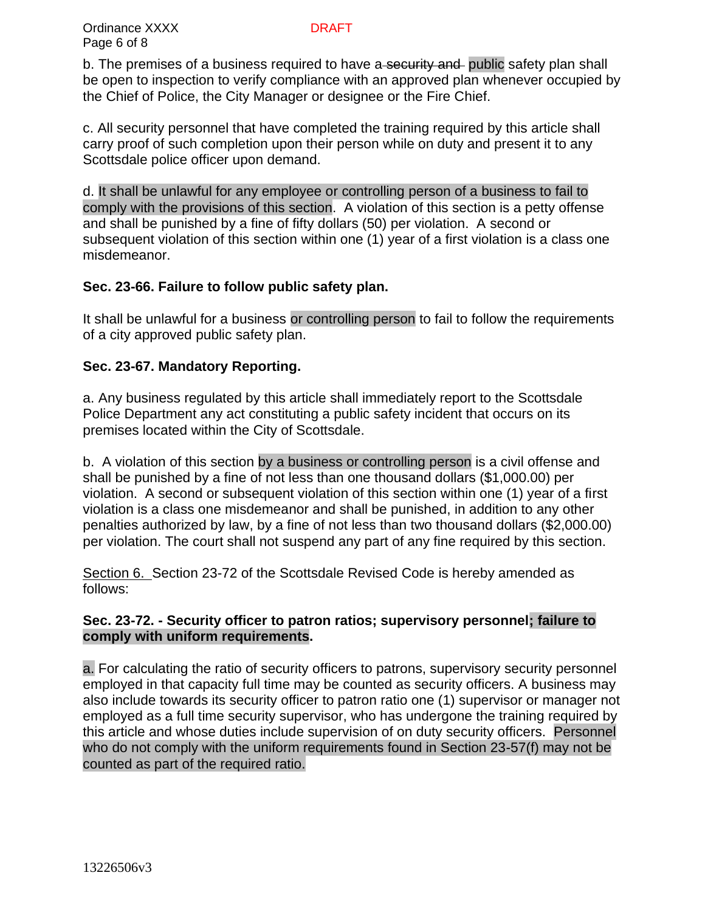b. The premises of a business required to have a security and public safety plan shall be open to inspection to verify compliance with an approved plan whenever occupied by the Chief of Police, the City Manager or designee or the Fire Chief.

c. All security personnel that have completed the training required by this article shall carry proof of such completion upon their person while on duty and present it to any Scottsdale police officer upon demand.

d. It shall be unlawful for any employee or controlling person of a business to fail to comply with the provisions of this section. A violation of this section is a petty offense and shall be punished by a fine of fifty dollars (50) per violation. A second or subsequent violation of this section within one (1) year of a first violation is a class one misdemeanor.

# **Sec. 23-66. Failure to follow public safety plan.**

It shall be unlawful for a business or controlling person to fail to follow the requirements of a city approved public safety plan.

# **Sec. 23-67. Mandatory Reporting.**

a. Any business regulated by this article shall immediately report to the Scottsdale Police Department any act constituting a public safety incident that occurs on its premises located within the City of Scottsdale.

b. A violation of this section by a business or controlling person is a civil offense and shall be punished by a fine of not less than one thousand dollars (\$1,000.00) per violation. A second or subsequent violation of this section within one (1) year of a first violation is a class one misdemeanor and shall be punished, in addition to any other penalties authorized by law, by a fine of not less than two thousand dollars (\$2,000.00) per violation. The court shall not suspend any part of any fine required by this section.

Section 6. Section 23-72 of the Scottsdale Revised Code is hereby amended as follows:

# **Sec. 23-72. - Security officer to patron ratios; supervisory personnel; failure to comply with uniform requirements.**

a. For calculating the ratio of security officers to patrons, supervisory security personnel employed in that capacity full time may be counted as security officers. A business may also include towards its security officer to patron ratio one (1) supervisor or manager not employed as a full time security supervisor, who has undergone the training required by this article and whose duties include supervision of on duty security officers. Personnel who do not comply with the uniform requirements found in Section 23-57(f) may not be counted as part of the required ratio.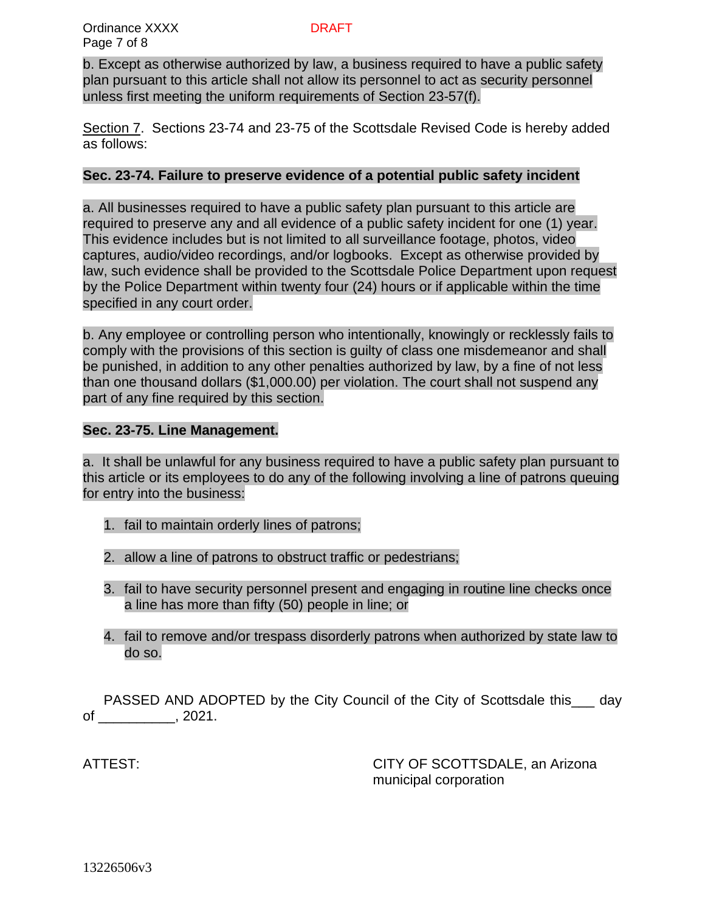b. Except as otherwise authorized by law, a business required to have a public safety plan pursuant to this article shall not allow its personnel to act as security personnel unless first meeting the uniform requirements of Section 23-57(f).

Section 7. Sections 23-74 and 23-75 of the Scottsdale Revised Code is hereby added as follows:

## **Sec. 23-74. Failure to preserve evidence of a potential public safety incident**

a. All businesses required to have a public safety plan pursuant to this article are required to preserve any and all evidence of a public safety incident for one (1) year. This evidence includes but is not limited to all surveillance footage, photos, video captures, audio/video recordings, and/or logbooks. Except as otherwise provided by law, such evidence shall be provided to the Scottsdale Police Department upon request by the Police Department within twenty four (24) hours or if applicable within the time specified in any court order.

b. Any employee or controlling person who intentionally, knowingly or recklessly fails to comply with the provisions of this section is guilty of class one misdemeanor and shall be punished, in addition to any other penalties authorized by law, by a fine of not less than one thousand dollars (\$1,000.00) per violation. The court shall not suspend any part of any fine required by this section.

# **Sec. 23-75. Line Management.**

a. It shall be unlawful for any business required to have a public safety plan pursuant to this article or its employees to do any of the following involving a line of patrons queuing for entry into the business:

- 1. fail to maintain orderly lines of patrons;
- 2. allow a line of patrons to obstruct traffic or pedestrians;
- 3. fail to have security personnel present and engaging in routine line checks once a line has more than fifty (50) people in line; or
- 4. fail to remove and/or trespass disorderly patrons when authorized by state law to do so.

PASSED AND ADOPTED by the City Council of the City of Scottsdale this day of \_\_\_\_\_\_\_\_\_\_, 2021.

ATTEST: CITY OF SCOTTSDALE, an Arizona municipal corporation